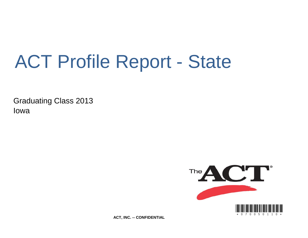# ACT Profile Report - State

Graduating Class 2013 Iowa



**ACT, INC. -- CONFIDENTIAL**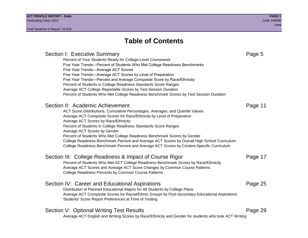### **Table of Contents**

#### Section I: Executive Summary **Page 5** and the section I: Executive Summary Percent of Your Students Ready for College-Level Coursework Five Year Trends—Percent of Students Who Met College Readiness Benchmarks Five Year Trends—Average ACT Scores Five Year Trends—Average ACT Scores by Level of Preparation Five Year Trends—Percent and Average Composite Score by Race/Ethnicity Percent of Students in College Readiness Standards Score Ranges Average ACT College Reportable Scores by Test Session Duration Percent of Students Who Met College Readiness Benchmark Scores by Test Session Duration Section II: Academic Achievement **Page 11** Page 11 ACT Score Distributions, Cumulative Percentages, Averages, and Quartile Values Average ACT Composite Scores for Race/Ethnicity by Level of Preparation Average ACT Scores by Race/Ethnicity Percent of Students in College Readiness Standards Score Ranges Average ACT Scores by Gender Percent of Students Who Met College Readiness Benchmark Scores by Gender College Readiness Benchmark Percent and Average ACT Scores by Overall High School Curriculum College Readiness Benchmark Percent and Average ACT Scores by Content-Specific Curriculum Section III: College Readiness & Impact of Course Rigor Page 17 Percent of Students Who Met ACT College Readiness Benchmark Scores by Race/Ethnicity Average ACT Scores and Average ACT Score Changes by Common Course Patterns College Readiness Percents by Common Course Patterns Section IV: Career and Educational Aspirations **Page 25** Page 25 Distribution of Planned Educational Majors for All Students by College Plans Average ACT Composite Scores for Racial/Ethnic Groups by Post-Secondary Educational Aspirations Students' Score Report Preferences at Time of Testing Section V: Optional Writing Test Results **Page 29** Page 29 Average ACT English and Writing Scores by Race/Ethnicity and Gender for students who took ACT Writing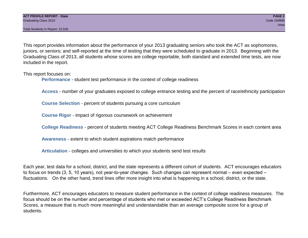This report provides information about the performance of your 2013 graduating seniors who took the ACT as sophomores, juniors, or seniors; and self-reported at the time of testing that they were scheduled to graduate in 2013. Beginning with the Graduating Class of 2013, all students whose scores are college reportable, both standard and extended time tests, are now included in the report.

This report focuses on:

**Performance** - student test performance in the context of college readiness

**Access** - number of your graduates exposed to college entrance testing and the percent of race/ethnicity participation

**Course Selection** - percent of students pursuing a core curriculum

**Course Rigor** - impact of rigorous coursework on achievement

**College Readiness** - percent of students meeting ACT College Readiness Benchmark Scores in each content area

**Awareness** - extent to which student aspirations match performance

**Articulation** - colleges and universities to which your students send test results

Each year, test data for a school, district, and the state represents a different cohort of students. ACT encourages educators to focus on trends (3, 5, 10 years), not year-to-year changes. Such changes can represent normal – even expected – fluctuations. On the other hand, trend lines offer more insight into what is happening in a school, district, or the state.

Furthermore, ACT encourages educators to measure student performance in the context of college readiness measures. The focus should be on the number and percentage of students who met or exceeded ACT's College Readiness Benchmark Scores, a measure that is much more meaningful and understandable than an average composite score for a group of students.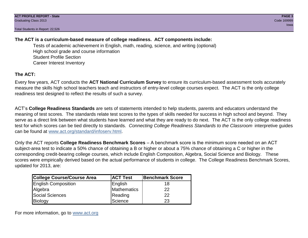#### **The ACT is a curriculum-based measure of college readiness. ACT components include:**

Tests of academic achievement in English, math, reading, science, and writing (optional) High school grade and course information Student Profile Section Career Interest Inventory

#### **The ACT:**

Every few years, ACT conducts the **ACT National Curriculum Survey** to ensure its curriculum-based assessment tools accurately measure the skills high school teachers teach and instructors of entry-level college courses expect. The ACT is the only college readiness test designed to reflect the results of such a survey.

ACT's **College Readiness Standards** are sets of statements intended to help students, parents and educators understand the meaning of test scores. The standards relate test scores to the types of skills needed for success in high school and beyond. They serve as a direct link between what students have learned and what they are ready to do next. The ACT is the only college readiness test for which scores can be tied directly to standards. *Connecting College Readiness Standards to the Classroom* interpretive guides can be found at www.act.org/standard/infoserv.html.

Only the ACT reports **College Readiness Benchmark Scores** – A benchmark score is the minimum score needed on an ACT subject-area test to indicate a 50% chance of obtaining a B or higher or about a 75% chance of obtaining a C or higher in the corresponding credit-bearing college courses, which include English Composition, Algebra, Social Science and Biology. These scores were empirically derived based on the actual performance of students in college. The College Readiness Benchmark Scores, updated for 2013, are:

| <b>College Course/Course Area</b> | <b>ACT Test</b> | Benchmark Score |
|-----------------------------------|-----------------|-----------------|
| <b>English Composition</b>        | English         | 18              |
| Algebra                           | Mathematics     | 22              |
| <b>Social Sciences</b>            | Reading         | 22              |
| Biology                           | Science         | 23              |

For more information, go to www.act.org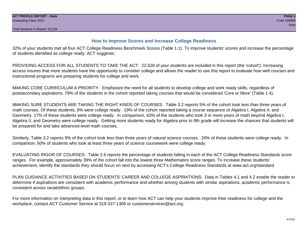#### **How to Improve Scores and Increase College Readiness**

32% of your students met all four ACT College Readiness Benchmark Scores (Table 1.1). To improve students' scores and increase the percentage of students identified as college ready, ACT suggests:

PROVIDING ACCESS FOR ALL STUDENTS TO TAKE THE ACT: 22,526 of your students are included in this report (the 'cohort'). Increasing access insures that more students have the opportunity to consider college and allows the reader to use this report to evaluate how well courses and instructional programs are preparing students for college and work.

MAKING CORE CURRICULUM A PRIORITY: Emphasize the need for all students to develop college and work ready skills, regardless of postsecondary aspirations. 79% of the students in the cohort reported taking courses that would be considered 'Core or More' (Table 1.4).

MAKING SURE STUDENTS ARE TAKING THE RIGHT KINDS OF COURSES: Table 3.2 reports 5% of the cohort took less than three years of math courses. Of these students, 8% were college ready. 19% of the cohort reported taking a course sequence of Algebra I, Algebra II, and Geometry. 17% of these students were college ready. In comparison, 63% of the students who took 3 or more years of math beyond Algebra I, Algebra II, and Geometry were college ready. Getting more students ready for Algebra prior to 9th grade will increase the chances that students will be prepared for and take advanced-level math courses.

Similarly, Table 3.2 reports 9% of the cohort took less than three years of natural science courses. 20% of these students were college ready. In comparison, 50% of students who took at least three years of science coursework were college ready.

EVALUATING RIGOR OF COURSES: Table 2.6 reports the percentage of students falling in each of the ACT College Readiness Standards score ranges. For example, approximately 39% of the cohort fall into the lowest three Mathematics score ranges. To increase these students' achievement, identify the standards they should focus on next by accessing ACT's College Readiness Standards at www.act.org/standard.

PLAN GUIDANCE ACTIVITIES BASED ON STUDENTS' CAREER AND COLLEGE ASPIRATIONS: Data in Tables 4.1 and 4.2 enable the reader to determine if aspirations are consistent with academic performance and whether among students with similar aspirations, academic performance is consistent across racial/ethnic groups.

For more information on interpreting data in this report, or to learn how ACT can help your students improve their readiness for college and the workplace, contact ACT Customer Service at 319-337-1309 or customerservices@act.org.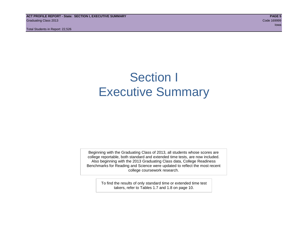**ACT PROFILE REPORT - State: SECTION I, EXECUTIVE SUMMARY PAGE 5** Graduating Class 2013 Code 169999

Total Students in Report: 22,526

in the contract of the contract of the contract of the contract of the contract of the contract of the contract of the contract of the contract of the contract of the contract of the contract of the contract of the contrac

### Section I Executive Summary

Beginning with the Graduating Class of 2013, all students whose scores are college reportable, both standard and extended time tests, are now included. Also beginning with the 2013 Graduating Class data, College Readiness Benchmarks for Reading and Science were updated to reflect the most recent college coursework research.

> To find the results of only standard time or extended time test takers, refer to Tables 1.7 and 1.8 on page 10.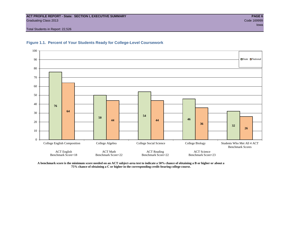#### **ACT PROFILE REPORT - State: SECTION I, EXECUTIVE SUMMARY PAGE 6** Graduating Class 2013 Code 169999

Total Students in Report: 22,526





**A benchmark score is the minimum score needed on an ACT subject-area test to indicate a 50% chance of obtaining a B or higher or about a 75% chance of obtaining a C or higher in the corresponding credit-bearing college course.**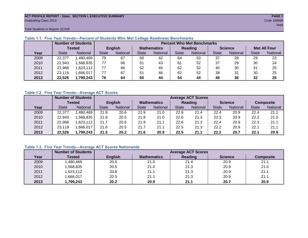#### **ACT PROFILE REPORT - State: SECTION I, EXECUTIVE SUMMARY PAGE 7** Graduating Class 2013 Code 169999

Total Students in Report: 22,526

|      |              | <b>Number of Students</b> |                | <b>Percent Who Met Benchmarks</b> |                    |          |              |          |                |          |                     |          |  |  |
|------|--------------|---------------------------|----------------|-----------------------------------|--------------------|----------|--------------|----------|----------------|----------|---------------------|----------|--|--|
|      |              | <b>Tested</b>             | <b>English</b> |                                   | <b>Mathematics</b> |          | Reading      |          | <b>Science</b> |          | <b>Met All Four</b> |          |  |  |
| Year | <b>State</b> | <b>National</b>           | <b>State</b>   | National                          | State              | National | <b>State</b> | National | <b>State</b>   | National | <b>State</b>        | National |  |  |
| 2009 | 22,377       | .480,469                  | 79             | 67                                | 50                 | 42       | 64           | 53       | 37             | 28       | 29                  | 23       |  |  |
| 2010 | 22,943       | .568.835                  | 77             | 66                                | 51                 | 43       | 61           | 52       | 37             | 29       | 30                  | 24       |  |  |
| 2011 | 22,968       | 623,112                   |                | 66                                | 52                 | 45       | 62           | 52       | 40             | 30       | 31                  | 25       |  |  |
| 2012 | 23.119       | ,666,017                  |                | 67                                | 51                 | 46       | 62           | 52       | 38             | 31       | 30                  | 25       |  |  |
| 2013 | 22,526       | 1,799,243                 | 76             | 64                                | 50                 | 44       | 54           | 44       | 46             | 36       | 32                  | 26       |  |  |

#### **Table 1.1. Five Year Trends—Percent of Students Who Met College Readiness Benchmarks**

#### **Table 1.2. Five Year Trends—Average ACT Scores**

|      |              | <b>Number of Students</b> |              |                 |                    | <b>Average ACT Scores</b> |                |          |                |                 |                  |          |  |  |  |
|------|--------------|---------------------------|--------------|-----------------|--------------------|---------------------------|----------------|----------|----------------|-----------------|------------------|----------|--|--|--|
|      |              | <b>Tested</b>             |              | <b>English</b>  | <b>Mathematics</b> |                           | <b>Reading</b> |          | <b>Science</b> |                 | <b>Composite</b> |          |  |  |  |
| Year | <b>State</b> | <b>National</b>           | <b>State</b> | <b>National</b> | <b>State</b>       | National                  | <b>State</b>   | National | <b>State</b>   | <b>National</b> | <b>State</b>     | National |  |  |  |
| 2009 | 22,377       | .480.469                  | 21.9         | 20.6            | 21.9               | 21.0                      | 22.9           | 21.4     | 22.4           | 20.9            | 22.4             | 21.1     |  |  |  |
| 2010 | 22,943       | .568.835                  | 21.8         | 20.5            | 21.8               | 21.0                      | 22.6           | 21.3     | 22.3           | 20.9            | 22.2             | 21.0     |  |  |  |
| 2011 | 22,968       | .623,112                  | 21.7         | 20.6            | 21.9               | 21.1                      | 22.6           | 21.3     | 22.4           | 20.9            | 22.3             | 21.1     |  |  |  |
| 2012 | 23,119       | .666,017                  | 21.6         | 20.5            | 21.7               | 21.1                      | 22.5           | 21.3     | 22.2           | 20.9            | 22.1             | 21.1     |  |  |  |
| 2013 | 22,526       | 1,799,243                 | 21.5         | 20.2            | 21.6               | 20.9                      | 22.5           | 21.1     | 22.2           | 20.7            | 22.1             | 20.9     |  |  |  |

#### **Table 1.3. Five Year Trends—Average ACT Scores Nationwide**

|      | <b>Number of Students</b> |                | <b>Average ACT Scores</b> |         |                |                  |  |  |  |  |  |  |
|------|---------------------------|----------------|---------------------------|---------|----------------|------------------|--|--|--|--|--|--|
| Year | Tested                    | <b>English</b> | <b>Mathematics</b>        | Reading | <b>Science</b> | <b>Composite</b> |  |  |  |  |  |  |
| 2009 | ,480,469                  | 20.6           | 21.0                      | 21.4    | 20.9           | 21.1             |  |  |  |  |  |  |
| 2010 | ,568,835                  | 20.5           | 21.0                      | 21.3    | 20.9           | 21.0             |  |  |  |  |  |  |
| 2011 | ,623,112                  | 20.6           | 21.1                      | 21.3    | 20.9           | 21.1             |  |  |  |  |  |  |
| 2012 | ,666,017                  | 20.5           | 21.1                      | 21.3    | 20.9           | 21.1             |  |  |  |  |  |  |
| 2013 | 1,799,243                 | 20.2           | 20.9                      | 21.1    | 20.7           | 20.9             |  |  |  |  |  |  |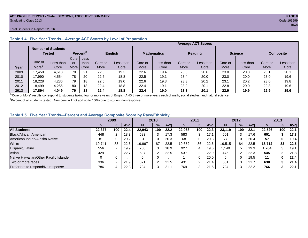#### **ACT PROFILE REPORT - State: SECTION I, EXECUTIVE SUMMARY PAGE 8** Graduating Class 2013 Code 169999

#### Total Students in Report: 22,526

|      |         | <b>Number of Students</b><br>Tested |      | Percent <sup>2</sup> |         | <b>English</b> |         | <b>Mathematics</b> |         | <b>Reading</b> |         | <b>Science</b> |         | <b>Composite</b> |
|------|---------|-------------------------------------|------|----------------------|---------|----------------|---------|--------------------|---------|----------------|---------|----------------|---------|------------------|
|      |         |                                     | Core | Less                 |         |                |         |                    |         |                |         |                |         |                  |
|      | Core or | Less than                           | or   | than                 | Core or | Less than      | Core or | Less than          | Core or | Less than      | Core or | Less than      | Core or | Less than        |
| Year | More    | Core                                | More | Core                 | More    | Core           | More    | Core               | More    | Core           | More    | Core           | More    | Core             |
| 2009 | 17.450  | 4,613                               | 78   | 21                   | 22.6    | 19.3           | 22.6    | 19.4               | 23.6    | 20.6           | 23.0    | 20.3           | 23.1    | 20.1             |
| 2010 | 17.990  | 4.554                               | 78   | 20                   | 22.6    | 18.8           | 22.5    | 19.1               | 23.4    | 20.0           | 23.0    | 20.0           | 23.0    | 19.6             |
| 2011 | 18,228  | 4,236                               | 79   | 18                   | 22.5    | 19.0           | 22.6    | 19.3               | 23.3    | 20.2           | 23.1    | 20.2           | 23.0    | 19.8             |
| 2012 | 18.499  | 4.255                               | 80   | 18                   | 22.4    | 18.8           | 22.4    | 19.1               | 23.2    | 20.1           | 22.8    | 20.0           | 22.8    | 19.6             |
| 2013 | 17,894  | 4.049                               | 79   | 18                   | 22.4    | 18.8           | 22.4    | 19.0               | 23.3    | 20.1           | 22.9    | 19.9           | 22.9    | 19.6             |

#### **Table 1.4. Five Year Trends—Average ACT Scores by Level of Preparation**

<sup>1</sup>"Core or More" results correspond to students taking four or more years of English AND three or more years each of math, social studies, and natural science.

 $2$ Percent of all students tested. Numbers will not add up to 100% due to student non-response.

#### **Table 1.5. Five Year Trends—Percent and Average Composite Score by Race/Ethnicity**

|                                        | 2009   |     | 2010 |        | 2011          |      | 2012   |     |      | 2013   |     |      |        |     |      |
|----------------------------------------|--------|-----|------|--------|---------------|------|--------|-----|------|--------|-----|------|--------|-----|------|
|                                        | N      | %   | Avg  | N      | $\frac{9}{6}$ | Avg  | N      | %   | Avg  | N      | %   | Ava  | N      | %   | Avg  |
| <b>All Students</b>                    | 22,377 | 100 | 22.4 | 22.943 | 100           | 22.2 | 22.968 | 100 | 22.3 | 23.119 | 100 | 22.1 | 22.526 | 100 | 22.1 |
| Black/African American                 | 448    |     | 18.3 | 583    | ົ<br>-3       | 17.3 | 583    | 3   | 17.1 | 601    | 3   | 17.6 | 601    |     | 17.3 |
| American Indian/Alaska Native          | 81     |     | 20.2 | 81     | 0             | 20.3 | 68     | 0   | 20.3 | 77     | 0   | 20.4 | 57     |     | 19.4 |
| White                                  | 19.741 | 88  | 22.6 | 19,967 | 87            | 22.5 | 19,652 | 86  | 22.6 | 19.515 | 84  | 22.5 | 18,712 | 83  | 22.5 |
| Hispanic/Latino                        | 556    |     | 19.9 | 700    | 3             | 18.9 | 927    | 4   | 19.6 | .140   | 5   | 19.3 | 1,204  |     | 19.1 |
| Asian                                  | 429    |     | 22.7 | 537    | $\sqrt{2}$    | 22.5 | 537    | ⌒   | 22.9 | 475    | っ   | 22.3 | 545    |     | 21.8 |
| Native Hawaiian/Other Pacific Islander |        |     |      |        | 0             |      |        |     | 20.0 | 6      | 0   | 19.5 | 11     |     | 22.4 |
| Two or more races                      | 336    |     | 21.9 | 371    | $\sim$        | 21.5 | 431    | ົ   | 21.4 | 581    | 3   | 21.7 | 630    |     | 21.4 |
| Prefer not to respond/No response      | 786    |     | 22.8 | 704    | ີ<br>o        | 21.1 | 769    |     | 21.5 | 724    | 3   | 22.2 | 766    |     | 22.1 |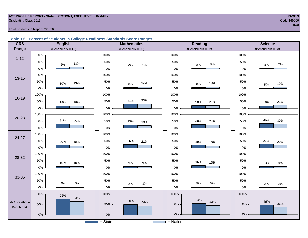#### **ACT PROFILE REPORT - State: SECTION I, EXECUTIVE SUMMARY PAGE 9 Graduating Class 2013** Code 169999 **Code 169999**

in the contract of the contract of the contract of the contract of the contract of the contract of the contract of the contract of the contract of the contract of the contract of the contract of the contract of the contrac

#### Total Students in Report: 22,526

#### **Table 1.6. Percent of Students in College Readiness Standards Score Ranges**

| <b>CRS</b>    | <b>English</b>          | <b>Mathematics</b>   | <b>Reading</b>          | <b>Science</b>      |
|---------------|-------------------------|----------------------|-------------------------|---------------------|
| Range         | (Benchmark = $18$ )     | (Benchmark = $22$ )  | (Benchmark = $22$ )     | (Benchmark = $23$ ) |
|               | 100%                    | 100%                 | 100%                    | 100%                |
| $1 - 12$      | 50%<br>13%<br>6%        | 50%<br>$0\%$<br>1%   | 50%<br>$8\%$<br>3%      | 50%<br>$7\%$<br>3%  |
|               | $0\%$                   | $0\%$                | $0\%$                   | $0\%$               |
| $13 - 15$     | 100%                    | 100%                 | 100%                    | 100%                |
|               | 50%<br>13%<br>10%       | 50%<br>14%<br>$8\%$  | 50%<br>13%<br>$8\%$     | 50%<br>10%<br>5%    |
|               | $0\%$                   | $0\%$                | $0\%$                   | $0\%$               |
|               | 100%                    | 100%                 | 100%                    | 100%                |
| 16-19         | 50%<br>18%<br>18%       | 33%<br>31%<br>50%    | 50%<br>21%<br>20%       | 50%<br>23%<br>18%   |
|               | $0\%$                   | $0\%$                | $0\%$                   | 0%                  |
|               | 100%                    | 100%                 | 100%                    | 100%                |
| $20 - 23$     | 31%<br>50%<br>25%       | 50%<br>23%<br>19%    | 28%<br>50%<br>24%       | 35%<br>30%<br>50%   |
|               | $0\%$                   | $0\%$                | $0\%$                   | $0\%$               |
|               | 100%                    | 100%                 | 100%                    | 100%                |
| 24-27         | 50%<br>20%<br>16%       | 50%<br>26%<br>21%    | 50%<br>19%<br>15%       | 27%<br>50%<br>20%   |
|               | $0\%$                   | $0\%$                | $0\%$                   | $0\%$               |
|               | 100%                    | 100%                 | 100%                    | 100%                |
| 28-32         | 50%<br>10%<br>10%       | 50%<br>$9\%$<br>$9%$ | 50%<br>16%<br>13%       | 50%<br>10%<br>$8\%$ |
|               | $0\%$                   | $0\%$                | $0\%$                   | $0\%$               |
|               | 100%                    | 100%                 | 100%                    | 100%                |
| 33-36         | 50%                     | 50%                  | 50%                     | 50%                 |
|               | $5\%$<br>$4\%$<br>$0\%$ | $3%$<br>2%<br>$0\%$  | $5\%$<br>$5\%$<br>$0\%$ | 2%<br>2%<br>$0\%$   |
|               | 100%<br>76%             | 100%                 | 100%                    | 100%                |
| % At or Above | 64%                     | 50%<br>44%           | 54%<br>44%              | 46%                 |
| Benchmark     | 50%                     | 50%                  | 50%                     | 36%<br>$50\%$       |
|               | $0\%$                   | $0\%$                | $0\%$                   | $0\%$               |
|               |                         | $=$ State            | = National              |                     |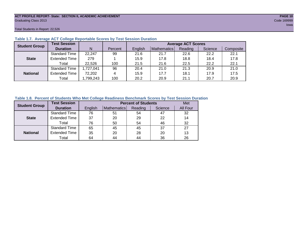#### **ACT PROFILE REPORT- State: SECTION II, ACADEMIC ACHIEVEMENT PAGE 10** Graduating Class 2013 Code 169999

Total Students in Report: 22,526

| <b>Student Group</b> | <b>Test Session</b>  |          |         |         | <b>Average ACT Scores</b> |         |         |           |  |  |  |  |  |  |
|----------------------|----------------------|----------|---------|---------|---------------------------|---------|---------|-----------|--|--|--|--|--|--|
|                      | <b>Duration</b>      | N        | Percent | English | Mathematics               | Reading | Science | Composite |  |  |  |  |  |  |
|                      | <b>Standard Time</b> | 22,247   | 99      | 21.6    | 21.7                      | 22.6    | 22.2    | 22.1      |  |  |  |  |  |  |
| <b>State</b>         | <b>Extended Time</b> | 279      |         | 15.9    | 17.8                      | 18.8    | 18.4    | 17.8      |  |  |  |  |  |  |
|                      | Total                | 22,526   | 100     | 21.5    | 21.6                      | 22.5    | 22.2    | 22.1      |  |  |  |  |  |  |
|                      | <b>Standard Time</b> | ,727,041 | 96      | 20.4    | 21.0                      | 21.3    | 20.9    | 21.0      |  |  |  |  |  |  |
| <b>National</b>      | <b>Extended Time</b> | 72,202   | 4       | 15.9    | 17.7                      | 18.1    | 17.9    | 17.5      |  |  |  |  |  |  |
|                      | Total                | ,799,243 | 100     | 20.2    | 20.9                      | 21.1    | 20.7    | 20.9      |  |  |  |  |  |  |

#### **Table 1.7. Average ACT College Reportable Scores by Test Session Duration**

#### **Table 1.8. Percent of Students Who Met College Readiness Benchmark Scores by Test Session Duration**

| <b>Student Group</b> | <b>Test Session</b>  |         |             | <b>Percent of Students</b> |         | Met      |
|----------------------|----------------------|---------|-------------|----------------------------|---------|----------|
|                      | <b>Duration</b>      | English | Mathematics | Reading                    | Science | All Four |
|                      | Standard Time        | 76      | 51          | 54                         | 47      | 32       |
| <b>State</b>         | <b>Extended Time</b> | 37      | 20          | 29                         | 22      | 14       |
|                      | Total                | 76      | 50          | 54                         | 46      | 32       |
|                      | <b>Standard Time</b> | 65      | 45          | 45                         | 37      | 27       |
| <b>National</b>      | <b>Extended Time</b> | 35      | 20          | 28                         | 20      | 13       |
|                      | Total                | 64      | 44          | 44                         | 36      | 26       |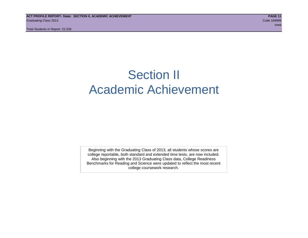### Section II Academic Achievement

Beginning with the Graduating Class of 2013, all students whose scores are college reportable, both standard and extended time tests, are now included. Also beginning with the 2013 Graduating Class data, College Readiness Benchmarks for Reading and Science were updated to reflect the most recent college coursework research.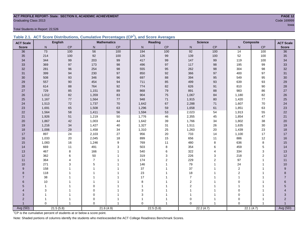#### **ACT PROFILE REPORT- State: SECTION II, ACADEMIC ACHIEVEMENT PAGE 12** Code 169999 Code 169999 Code 169999 Code 169999 Code 169999 Code 169999 Code 169999 Code 169999 Code 169999 Code 169999 Code 169999 Code 169999 Code 169999 Code 169999 Code 169999 Code 169999 Code 169999 Code 169999 Code 1

Total Students in Report: 22,526

|  | Table 2.1. ACT Score Distributions, Cumulative Percentages (CP <sup>1</sup> ), and Score Averages |  |  |  |
|--|---------------------------------------------------------------------------------------------------|--|--|--|
|  |                                                                                                   |  |  |  |

| <b>ACT Scale</b>      |              | <b>English</b> |                          | <b>Mathematics</b> |              | <b>Reading</b> |                | <b>Science</b> |                 | <b>Composite</b><br><b>ACT Scale</b> |                 |
|-----------------------|--------------|----------------|--------------------------|--------------------|--------------|----------------|----------------|----------------|-----------------|--------------------------------------|-----------------|
| <b>Score</b>          | $\mathsf{N}$ | CP             | ${\sf N}$                | $\mathsf{CP}$      | $\mathsf{N}$ | CP             | N              | CP             | N               | $\mathsf{CP}$                        | <b>Score</b>    |
| 36                    | 73           | 100            | 56                       | 100                | 194          | 100            | 92             | 100            | $\overline{14}$ | 100                                  | $\overline{36}$ |
| 35                    | 214          | 100            | 92                       | 100                | 126          | 99             | 139            | 100            | 52              | 100                                  | 35              |
| 34                    | 344          | 99             | 203                      | 99                 | 417          | 99             | 147            | 99             | 119             | 100                                  | 34              |
| 33                    | 369          | 97             | 173                      | 98                 | 496          | 97             | 117            | 98             | 195             | 99                                   | 33              |
| 32                    | 281          | 96             | 254                      | $98\,$             | 555          | 95             | 262            | $98\,$         | 304             | 98                                   | 32              |
| 31                    | 399          | 94             | 230                      | 97                 | 850          | 92             | 366            | $97\,$         | 400             | 97                                   | 31              |
| 30                    | 508          | 93             | 346                      | 96                 | 697          | 88             | 394            | 95             | 549             | 95                                   | 30              |
| 29                    | 557          | 90             | 454                      | 94                 | 711          | 85             | 499            | 93             | 639             | 93                                   | 29              |
| 28                    | 614          | 88             | 764                      | 92                 | 774          | 82             | 626            | 91             | 810             | 90                                   | 28              |
| 27                    | 729          | 85             | 1,151                    | 89                 | 868          | 79             | 891            | 88             | 983             | 86                                   | $27\,$          |
| 26                    | 1,012        | 82             | 1,359                    | 83                 | 904          | 75             | 1,067          | 84             | 1,180           | 82                                   | 26              |
| 25                    | 1,167        | 77             | 1,564                    | $77\,$             | 948          | 71             | 1,915          | 80             | 1,420           | 77                                   | 25              |
| 24                    | 1,513        | 72             | 1,737                    | 70                 | 1,642        | 67             | 2,288          | 71             | 1,607           | 70                                   | 24              |
| 23                    | 1,691        | 65             | 1,508                    | 63                 | 1,296        | 59             | 1,658          | 61             | 1,851           | 63                                   | 23              |
| 22                    | 1,564        | 58             | 1,411                    | 56                 | 1,594        | 53             | 2,023          | 54             | 1,913           | 55                                   | 22              |
| 21                    | 1,926        | 51             | 1,219                    | 50                 | 1,776        | 46             | 2,355          | 45             | 1,854           | 47                                   | 21              |
| 20                    | 1,867        | 42             | 1,003                    | 44                 | 1,642        | 39             | 1,766          | 34             | 1,802           | 38                                   | 20              |
| 19                    | 1,216        | 34             | 1,427                    | 40                 | 1,327        | 31             | 1,511          | 26             | 1,635           | 30                                   | 19              |
| 18                    | 1,006        | 29             | 1,458                    | 34                 | 1,310        | 25             | 1,263          | $20\,$         | 1,439           | 23                                   | 18              |
| 17                    | 897          | 24             | 2,103                    | 27                 | 956          | 20             | 733            | 14             | 1,100           | 17                                   | 17              |
| 16                    | 1,033        | 20             | 2,045                    | 18                 | 899          | 15             | 656            | 11             | 886             | 12                                   | 16              |
| 15                    | 1,083        | 16             | 1,246                    | 9                  | 769          | 11             | 480            | 8              | 636             | 8                                    | 15              |
| 14                    | 669          | 11             | 491                      | 3                  | 503          | 8              | 354            | 6              | 459             | 5                                    | 14              |
| 13                    | 467          | 8              | 166                      |                    | 540          | 6              | 322            | 4              | 334             | 3                                    | 13              |
| 12                    | 362          | 6              | 50                       |                    | 319          | 3              | 226            | 3              | 218             | $\overline{c}$                       | 12              |
| 11                    | 364          |                | $\overline{7}$           |                    | 174          | $\overline{2}$ | 229            | $\overline{c}$ | 97              | $\mathbf{1}$                         | 11              |
| 10                    | 271          | 3              | 5                        |                    | 146          |                | 79             | 1              | 24              | $\overline{1}$                       | 10              |
| 9                     | 158          |                |                          |                    | 37           |                | 37             |                | $\overline{2}$  |                                      | 9               |
| 8                     | 118          |                |                          |                    | 23           |                | 18             |                | $\overline{2}$  |                                      | 8               |
| $\overline{7}$        | 38           |                |                          |                    | 17           |                | $\overline{7}$ |                | $\mathbf{1}$    |                                      | $\overline{7}$  |
| 6                     | 10           |                | $\overline{\phantom{a}}$ |                    | 8            |                | $\overline{2}$ | 1              | $\Omega$        |                                      | $6\phantom{a}$  |
| 5                     | $\mathbf{1}$ |                | $\mathbf 0$              |                    | 1            |                | $\overline{2}$ |                |                 |                                      | 5               |
| $\boldsymbol{\Delta}$ | 3            |                | $\Omega$                 |                    | 3            |                |                |                | $\Omega$        |                                      |                 |
| 3                     |              |                | $\mathbf 0$              |                    | 3            |                |                | 1              | $\mathbf 0$     |                                      | 3               |
| $\overline{2}$        |              |                | $\mathbf 0$              |                    |              |                | $\mathbf 0$    | -1             | $\mathbf 0$     |                                      | $\overline{2}$  |
|                       | $\Omega$     |                | $\Omega$                 |                    | $\Omega$     | 1              | $\Omega$       | 1              | $\Omega$        |                                      | Avg (SD)        |
| Avg (SD)              |              | 21.5(5.8)      |                          | 21.6(4.9)          |              | 22.5(5.8)      |                | 22.2(4.7)      |                 | 22.1(4.7)                            |                 |

in a complete the contract of the complete the contract of the contract of the contract of the contract of the

<sup>1</sup>CP is the cumulative percent of students at or below a score point.

Note: Shaded portions of columns identify the students who met/exceeded the ACT College Readiness Benchmark Scores.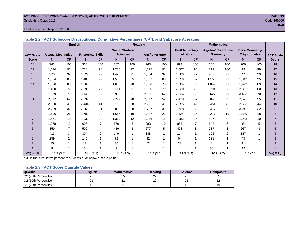#### **ACT PROFILE REPORT- State: SECTION II, ACADEMIC ACHIEVEMENT PAGE 13** Graduating Class 2013 Code 169999

#### Total Students in Report: 22,526

|                  |                         | <b>English</b> |                          |                |                        |                | <b>Reading</b>          |              | <b>Mathematics</b>    |           |                            |                |                        |     |                  |
|------------------|-------------------------|----------------|--------------------------|----------------|------------------------|----------------|-------------------------|--------------|-----------------------|-----------|----------------------------|----------------|------------------------|-----|------------------|
|                  |                         |                |                          |                | <b>Social Studies/</b> |                |                         |              | <b>Pre/Elementary</b> |           | <b>Algebra/ Coordinate</b> |                | <b>Plane Geometry/</b> |     |                  |
| <b>ACT Scale</b> | <b>Usage/ Mechanics</b> |                | <b>Rhetorical Skills</b> |                | <b>Sciences</b>        |                | <b>Arts/Literature</b>  |              | Algebra               |           | <b>Geometry</b>            |                | <b>Trigonometry</b>    |     | <b>ACT Scale</b> |
| <b>Score</b>     | N                       | CP             | N                        | <b>CP</b>      | $\mathsf{N}$           | CP             | N                       | <b>CP</b>    | N                     | <b>CP</b> | N.                         | CP             | N                      | CP  | <b>Score</b>     |
| 18               | 743                     | 100            | 360                      | 100            | 707                    | 100            | 763                     | 100          | 891                   | 100       | 105                        | 100            | 200                    | 100 | 18               |
| 17               | 1,074                   | 97             | 218                      | 98             | 1,255                  | 97             | 1,015                   | 97           | 1,007                 | 96        | 212                        | 100            | 49                     | 99  | 17               |
| 16               | 970                     | 92             | 1.227                    | 97             | 1.428                  | 91             | 1,524                   | 92           | 1,009                 | 92        | 469                        | 99             | 831                    | 99  | 16               |
| 15               | 1.064                   | 88             | 1.408                    | 92             | 1,588                  | 85             | 1,667                   | 85           | 1,559                 | 87        | 1,158                      | 97             | 1,349                  | 95  | 15               |
| 14               | 1,376                   | 83             | 1,960                    | 86             | 1,650                  | 78             | 1,820                   | 78           | 1,604                 | 80        | 1,849                      | 91             | 1,999                  | 89  | 14               |
| 13               | 1.480                   | 77             | 2,290                    | 77             | 2,111                  | 71             | 1.880                   | 70           | 2,330                 | 73        | 2.794                      | 83             | 2,302                  | 80  | 13               |
| 12               | 1,879                   | 70             | 3.146                    | 67             | 2,963                  | 61             | 2,086                   | 62           | 2,324                 | 63        | 2,627                      | 71             | 3,433                  | 70  | 12               |
| 11               | 2,872                   | 62             | 2,597                    | 53             | 2,299                  | 48             | 2,577                   | 52           | 2,429                 | 52        | 3,040                      | 59             | 2,521                  | 55  | 11               |
| 10               | 2,820                   | 49             | 2,434                    | 41             | 2,150                  | 38             | 2,251                   | 41           | 2,055                 | 42        | 3,451                      | 46             | 2,583                  | 44  | 10               |
| 9                | 2,289                   | 37             | 2,569                    | 31             | 2,062                  | 28             | 1.707                   | 31           | 1,728                 | 32        | 2,477                      | 30             | 3,241                  | 32  | 9                |
| 8                | 1,696                   | 26             | 1.703                    | 19             | 1,666                  | 19             | 1,837                   | 23           | 2,124                 | 25        | 2,277                      | 19             | 1,849                  | 18  | 8                |
|                  | 1,561                   | 19             | 1,032                    | 12             | 1,312                  | 12             | 1,246                   | 15           | 1,982                 | 15        | 827                        | 9              | 1,083                  | 10  | $\overline{7}$   |
| 6                | 1,078                   | 12             | 607                      | $\overline{7}$ | 650                    | 6              | 983                     | 10           | 851                   | 7         | 643                        | 6              | 484                    | 5   | 6                |
| 5                | 859                     | $\overline{7}$ | 509                      | 4              | 419                    | 3              | 677                     | 5            | 428                   | 3         | 237                        | 3              | 267                    | 3   | 5                |
| 4                | 413                     | 3              | 304                      | 2              | 149                    |                | 348                     | 2            | 114                   | 1         | 195                        | $\overline{2}$ | 187                    |     | 4                |
| 3                | 259                     | 2              | 145                      | 1              | 72                     | $\overline{ }$ | 92                      | $\mathbf{1}$ | 64                    |           | 121                        |                | 75                     |     | 3                |
| $\overline{2}$   | 85                      |                | 12                       |                | 36                     |                | 52                      | 1            | 23                    |           | 8                          |                | 41                     |     | $\overline{2}$   |
|                  | 8                       |                | 5                        |                | 9                      |                | $\overline{\mathbf{A}}$ | 1            | 4                     |           | 36                         |                | 32                     |     |                  |
| Avg (SD)         | 10.8(3.6)               |                | 11.1(3.1)                |                | 11.6(3.3)              |                | 11.4(3.5)               |              | 11.3(3.4)             |           | 10.9(2.7)                  |                | 11.0(2.8)              |     | Avg (SD)         |

**Table 2.2. ACT Subscore Distributions, Cumulative Percentages (CP<sup>1</sup> ), and Subscore Averages**

 $1$ <sup>T</sup>CP is the cumulative percent of students at or below a score point.

#### **Table 2.3. ACT Score Quartile Values**

| <b>Quartile</b>      | <b>Enalish</b> | <b>Mathematics</b> | Reading  | <b>Science</b> | Composite |
|----------------------|----------------|--------------------|----------|----------------|-----------|
| Q3 (75th Percentile) | 25             | 25                 | <u>.</u> | 25             | 25        |
| Q2 (50th Percentile) | n,             | nr<br>__           | nr<br>∼  | nn<br>--       | ົ<br>__   |
| Q1 (25th Percentile) |                |                    |          | č              |           |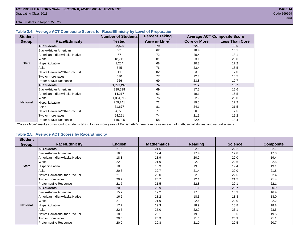#### **Table 2.4. Average ACT Composite Scores for Race/Ethnicity by Level of Preparation**

| <b>Student</b>  |                                 | <b>Number of Students</b> | <b>Percent Taking</b>     |                     | <b>Average ACT Composite Score</b> |
|-----------------|---------------------------------|---------------------------|---------------------------|---------------------|------------------------------------|
| <b>Group</b>    | <b>Race/Ethnicity</b>           | <b>Tested</b>             | Core or More <sup>1</sup> | <b>Core or More</b> | <b>Less Than Core</b>              |
|                 | <b>All Students</b>             | 22,526                    | 79                        | 22.9                | 19.6                               |
|                 | <b>Black/African American</b>   | 601                       | 62                        | 18.4                | 16.1                               |
|                 | American Indian/Alaska Native   | 57                        | 72                        | 20.4                | 18.1                               |
|                 | White                           | 18,712                    | 81                        | 23.1                | 20.0                               |
| <b>State</b>    | Hispanic/Latino                 | 1,204                     | 68                        | 20.3                | 17.2                               |
|                 | Asian                           | 545                       | 76                        | 23.4                | 18.5                               |
|                 | Native Hawaiian/Other Pac. Isl. | 11                        | 82                        | 23.6                | 17.0                               |
|                 | I Two or more races             | 630                       | 77                        | 22.3                | 18.5                               |
|                 | Prefer not/No Response          | 766                       | 69                        | 23.8                | 19.7                               |
|                 | <b>All Students</b>             | 1,799,243                 | 74                        | 21.7                | 18.7                               |
|                 | Black/African American          | 239,598                   | 69                        | 17.5                | 15.6                               |
|                 | American Indian/Alaska Native   | 14,217                    | 62                        | 19.1                | 16.5                               |
|                 | <b>White</b>                    | 1,034,712                 | 76                        | 22.9                | 20.0                               |
| <b>National</b> | Hispanic/Latino                 | 259,741                   | 72                        | 19.5                | 17.2                               |
|                 | Asian                           | 71,677                    | 81                        | 24.1                | 21.5                               |
|                 | Native Hawaiian/Other Pac. Isl. | 4,772                     | 71                        | 20.5                | 17.5                               |
|                 | Two or more races               | 64,221                    | 74                        | 21.9                | 19.2                               |
|                 | Prefer not/No Response          | 110,305                   | 58                        | 22.4                | 18.4                               |

<sup>1</sup>"Core or More" results correspond to students taking four or more years of English AND three or more years each of math, social studies, and natural science.

#### **Table 2.5. Average ACT Scores by Race/Ethnicity**

| <b>Student</b>  |                                 |                |                    |                |                |                  |
|-----------------|---------------------------------|----------------|--------------------|----------------|----------------|------------------|
| Group           | <b>Race/Ethnicity</b>           | <b>English</b> | <b>Mathematics</b> | <b>Reading</b> | <b>Science</b> | <b>Composite</b> |
|                 | <b>All Students</b>             | 21.5           | 21.6               | 22.5           | 22.2           | 22.1             |
|                 | Black/African American          | 16.0           | 17.4               | 17.4           | 17.8           | 17.3             |
|                 | American Indian/Alaska Native   | 18.3           | 18.9               | 20.2           | 20.0           | 19.4             |
|                 | White                           | 22.0           | 21.9               | 22.9           | 22.6           | 22.5             |
| <b>State</b>    | Hispanic/Latino                 | 18.0           | 18.9               | 19.6           | 19.4           | 19.1             |
|                 | Asian                           | 20.6           | 22.7               | 21.4           | 22.0           | 21.8             |
|                 | Native Hawaiian/Other Pac. Isl. | 21.0           | 23.0               | 22.5           | 22.5           | 22.4             |
|                 | Two or more races               | 20.7           | 20.7               | 22.1           | 21.5           | 21.4             |
|                 | Prefer not/No Response          | 21.7           | 21.5               | 22.8           | 22.1           | 22.1             |
|                 | <b>All Students</b>             | 20.2           | 20.9               | 21.1           | 20.7           | 20.9             |
|                 | <b>Black/African American</b>   | 15.7           | 17.2               | 17.0           | 16.9           | 16.9             |
|                 | American Indian/Alaska Native   | 16.6           | 18.2               | 18.3           | 18.3           | 18.0             |
|                 | White                           | 21.8           | 21.9               | 22.6           | 22.0           | 22.2             |
| <b>National</b> | Hispanic/Latino                 | 17.7           | 19.3               | 18.9           | 18.8           | 18.8             |
|                 | Asian                           | 22.5           | 25.0               | 22.9           | 23.1           | 23.5             |
|                 | Native Hawaiian/Other Pac. Isl. | 18.6           | 20.1               | 19.5           | 19.5           | 19.5             |
|                 | Two or more races               | 20.6           | 20.9               | 21.6           | 20.9           | 21.1             |
|                 | Prefer not/No Response          | 20.0           | 20.8               | 21.0           | 20.5           | 20.7             |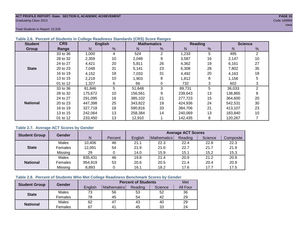#### **ACT PROFILE REPORT- State: SECTION II, ACADEMIC ACHIEVEMENT PAGE 15** Graduating Class 2013 Code 169999

Total Students in Report: 22,526

| <b>Student</b>  | <b>CRS</b> |         | <b>English</b> |         | <b>Mathematics</b> |         | Reading | <b>Science</b> |    |  |
|-----------------|------------|---------|----------------|---------|--------------------|---------|---------|----------------|----|--|
| Group           | Range      | N       | %              | N       | %                  | N       | %       | N              | %  |  |
|                 | 33 to 36   | 1,000   | 4              | 524     | 2                  | 1,233   | 5       | 495            | 2  |  |
|                 | 28 to 32   | 2,359   | 10             | 2,048   | 9                  | 3,587   | 16      | 2,147          | 10 |  |
|                 | 24 to 27   | 4,421   | 20             | 5,811   | 26                 | 4,362   | 19      | 6,161          | 27 |  |
| <b>State</b>    | 20 to 23   | 7,048   | 31             | 5,141   | 23                 | 6,308   | 28      | 7,802          | 35 |  |
|                 | 16 to 19   | 4,152   | 18             | 7,033   | 31                 | 4,492   | 20      | 4,163          | 18 |  |
|                 | 13 to 15   | 2,219   | 10             | 1,903   | 8                  | 1,812   | 8       | 1,156          | 5  |  |
|                 | 01 to 12   | 1,327   | 6              | 66      | 0                  | 732     | 3       | 602            | 3  |  |
|                 | 33 to 36   | 81,846  | 5              | 51,648  | 3                  | 89,731  | 5       | 36,033         | 2  |  |
|                 | 28 to 32   | 175,672 | 10             | 156,561 | 9                  | 239,643 | 13      | 138,865        | 8  |  |
|                 | 24 to 27   | 291,095 | 16             | 385,102 | 21                 | 277,723 | 15      | 364,600        | 20 |  |
| <b>National</b> | 20 to 23   | 447,398 | 25             | 343,822 | 19                 | 424,936 | 24      | 542,531        | 30 |  |
|                 | 16 to 19   | 327,718 | 18             | 590,816 | 33                 | 384,706 | 21      | 413,107        | 23 |  |
|                 | 13 to 15   | 242,064 | 13             | 258,384 | 14                 | 240,069 | 13      | 183,840        | 10 |  |
|                 | 01 to 12   | 233,450 | 13             | 12,910  |                    | 142,435 | 8       | 120,267        |    |  |

#### **Table 2.6. Percent of Students in College Readiness Standards (CRS) Score Ranges**

#### **Table 2.7. Average ACT Scores by Gender**

| <b>Student Group</b> | <b>Gender</b> |         |         | <b>Average ACT Scores</b> |             |         |         |           |  |  |  |  |
|----------------------|---------------|---------|---------|---------------------------|-------------|---------|---------|-----------|--|--|--|--|
|                      |               | N       | Percent | Enalish                   | Mathematics | Reading | Science | Composite |  |  |  |  |
|                      | Males         | 10,406  | 46      | 21.1                      | 22.3        | 22.4    | 22.8    | 22.3      |  |  |  |  |
| <b>State</b>         | Females       | 12,091  | 54      | 21.9                      | 21.0        | 22.7    | 21.7    | 21.9      |  |  |  |  |
|                      | Missing       | 29      |         | 14.0                      | 15.9        | 15.1    | 15.2    | 15.3      |  |  |  |  |
|                      | Males         | 835,431 | 46      | 19.8                      | 21.4        | 20.9    | 21.2    | 20.9      |  |  |  |  |
| <b>National</b>      | Females       | 954,919 | 53      | 20.6                      | 20.5        | 21.4    | 20.4    | 20.9      |  |  |  |  |
|                      | Missing       | 8,893   | 0       | 16.1                      | 18.2        | 17.6    | 17.7    | 17.5      |  |  |  |  |

#### **Table 2.8. Percent of Students Who Met College Readiness Benchmark Scores by Gender**

| <b>Student Group</b> | Gender       |         | Met                |         |         |          |
|----------------------|--------------|---------|--------------------|---------|---------|----------|
|                      |              | English | <b>Mathematics</b> | Reading | Science | All Four |
| <b>State</b>         | Males        | 73      | 56                 | 53      | 52      | 36       |
|                      | Females      | 78      | 45                 | 54      | 42      | 29       |
| <b>National</b>      | <b>Males</b> | 62      | 47                 | 43      | 40      | 29       |
|                      | Females      | 67      | 4 <sup>1</sup>     | 45      | 33      | 24       |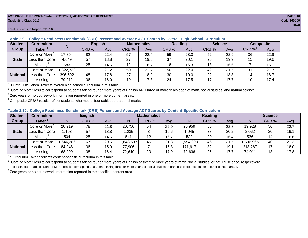#### **ACT PROFILE REPORT- State: SECTION II, ACADEMIC ACHIEVEMENT PAGE 16** Graduating Class 2013 Code 169999

#### Total Students in Report: 22,526

| <b>Student</b>  | <b>Curriculum</b>                                                        | N        |       | <b>English</b> | <b>Mathematics</b> |      | Reading |      | <b>Science</b> |      | <b>Composite</b> |      |
|-----------------|--------------------------------------------------------------------------|----------|-------|----------------|--------------------|------|---------|------|----------------|------|------------------|------|
| Group           | Taken'                                                                   |          | CRB % | Avg            | CRB %              | Ava  | CRB %   | Avg  | CRB %          | Avg  | CRB $\%^4$       | Avg  |
|                 | Core or More <sup>2</sup>                                                | 17,894   | 82    | 22.4           | 57                 | 22.4 | 59      | 23.3 | 52             | 22.9 | 36               | 22.9 |
| <b>State</b>    | Less than Core                                                           | 4,049    | 57    | 18.8           | 27                 | 19.0 | 37      | 20.1 | 26             | 19.9 | 15               | 19.6 |
|                 | Missing <sup>3</sup>                                                     | 583      | 25    | 14.5           | 12                 | 16.7 | 18      | 16.3 | 13             | 16.6 |                  | 16.1 |
|                 | Core or More                                                             | ,322,739 | 71    | 21.2           | 50                 | 21.7 | 50      | 22.0 | 42             | 21.5 | 31               | 21.7 |
| <b>National</b> | Less than Corel                                                          | 396.592  | 48    | 17.8           | 27                 | 18.9 | 30      | 19.0 | 22             | 18.8 | 14               | 18.7 |
|                 | Missing                                                                  | 79,912   | 36    | 16.0           | 19                 | 17.8 | 24      | 17.5 | 17             | 17.7 | 10               | 17.4 |
|                 | "Curriculum Token" reflecte overall bigh school ourriculum in this toble |          |       |                |                    |      |         |      |                |      |                  |      |

**Table 2.9. College Readiness Benchmark (CRB) Percent and Average ACT Scores by Overall High School Curriculum**

"Curriculum Taken" reflects overall high school curriculum in this table.

 $^2$  "Core or More" results correspond to students taking four or more years of English AND three or more years each of math, social studies, and natural science.

 $3$  Zero years or no coursework information reported in one or more content areas.

 $4$  Composite CRB% results reflect students who met all four subject-area benchmarks.

|  |  |  |  |  | Table 2.10. College Readiness Benchmark (CRB) Percent and Average ACT Scores by Content-Specific Curriculum |
|--|--|--|--|--|-------------------------------------------------------------------------------------------------------------|
|--|--|--|--|--|-------------------------------------------------------------------------------------------------------------|

| <b>Student</b>  | <b>Curriculum</b>                       |          | <b>English</b> |      | <b>Mathematics</b> |       |      | Reading  |       |      | <b>Science</b> |       |      |
|-----------------|-----------------------------------------|----------|----------------|------|--------------------|-------|------|----------|-------|------|----------------|-------|------|
| Group           | Taken $^{\scriptscriptstyle\mathsf{T}}$ |          | CRB %          | Avg  | N                  | CRB % | Avg  | N        | CRB % | Avg  | N              | CRB % | Avg  |
|                 | Core or More <sup>2</sup>               | 20,919   | 78             | 21.8 | 20,750             | 54    | 22.0 | 20,959   | 55    | 22.8 | 19,928         | 50    | 22.7 |
| <b>State</b>    | Less than Corel                         | 1,103    | 57             | 18.8 | .235               |       | 16.6 | ,045     | 38    | 20.2 | 2,062          | 20    | 19.1 |
|                 | Missing <sup>3</sup>                    | 504      | 25             | 14.5 | 541                | 12    | 16.7 | 522      | 20    | 16.4 | 536            | 14    | 16.6 |
|                 | Core or More                            | ,646,286 | 67             | 20.6 | 648,697            | 46    | 21.3 | .554,990 | 46    | 21.5 | ,506,965       | 40    | 21.3 |
| <b>National</b> | Less than Core                          | 84,048   | 36             | 15.9 | 77,906             |       | 16.3 | 171,617  | 32    | 19.1 | 218,267        |       | 18.0 |
|                 | Missing                                 | 68,909   | 38             | 16.4 | 72,640             | 20    | 17.9 | 72,636   | 25    | 17.7 | 74,011         | 18    | 17.8 |

<sup>1</sup>"Curriculum Taken" reflects content-specific curriculum in this table.

<sup>2</sup> "Core or More" results correspond to students taking four or more years of English or three or more years of math, social studies, or natural science, respectively. For instance, Reading "Core or More" results correspond to students taking three or more years of social studies, regardless of courses taken in other content areas.

 $3$  Zero years or no coursework information reported in the specified content area.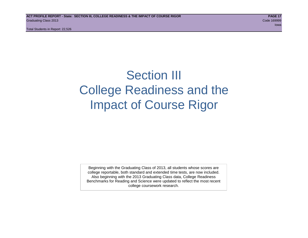### Section III College Readiness and the Impact of Course Rigor

Beginning with the Graduating Class of 2013, all students whose scores are college reportable, both standard and extended time tests, are now included. Also beginning with the 2013 Graduating Class data, College Readiness Benchmarks for Reading and Science were updated to reflect the most recent college coursework research.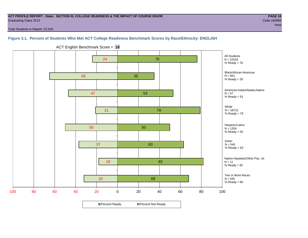#### **ACT PROFILE REPORT - State: SECTION III, COLLEGE READINESS & THE IMPACT OF COURSE RIGOR PAGE 18** Graduating Class 2013 Code 169999

Total Students in Report: 22,526

#### **Figure 3.1. Percent of Students Who Met ACT College Readiness Benchmark Scores by Race/Ethnicity: ENGLISH**



ACT English Benchmark Score = **18**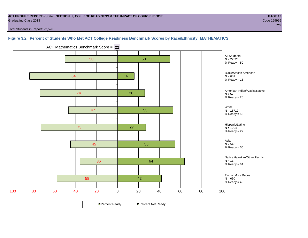#### **ACT PROFILE REPORT - State: SECTION III, COLLEGE READINESS & THE IMPACT OF COURSE RIGOR PAGE 19** Graduating Class 2013 Code 169999

Total Students in Report: 22,526

#### **Figure 3.2. Percent of Students Who Met ACT College Readiness Benchmark Scores by Race/Ethnicity: MATHEMATICS**



ACT Mathematics Benchmark Score = **22**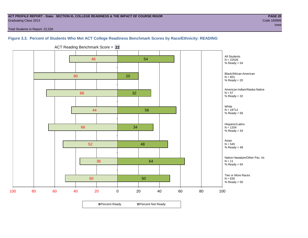#### **ACT PROFILE REPORT - State: SECTION III, COLLEGE READINESS & THE IMPACT OF COURSE RIGOR PAGE 20** Graduating Class 2013 Code 169999

Total Students in Report: 22,526

**Figure 3.3. Percent of Students Who Met ACT College Readiness Benchmark Scores by Race/Ethnicity: READING**



ACT Reading Benchmark Score = **22**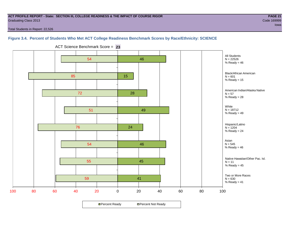#### **ACT PROFILE REPORT - State: SECTION III, COLLEGE READINESS & THE IMPACT OF COURSE RIGOR PAGE 21** Graduating Class 2013 Code 169999

Total Students in Report: 22,526

#### **Figure 3.4. Percent of Students Who Met ACT College Readiness Benchmark Scores by Race/Ethnicity: SCIENCE**



ACT Science Benchmark Score = **23**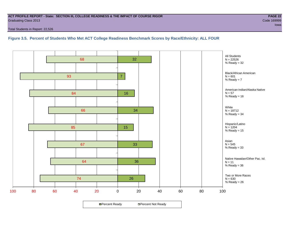#### **ACT PROFILE REPORT - State: SECTION III, COLLEGE READINESS & THE IMPACT OF COURSE RIGOR PAGE 22** Graduating Class 2013 Code 169999

Total Students in Report: 22,526

**Figure 3.5. Percent of Students Who Met ACT College Readiness Benchmark Scores by Race/Ethnicity: ALL FOUR**

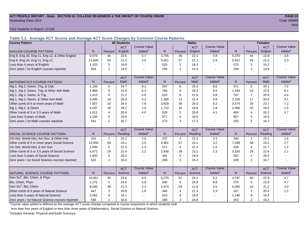#### **ACT PROFILE REPORT - State: SECTION III, COLLEGE READINESS & THE IMPACT OF COURSE RIGOR PAGE 23** Graduating Class 2013 Code 169999

Total Students in Report: 22,526

**Table 3.1. Average ACT Scores and Average ACT Score Changes by Common Course Patterns**

| <b>Course Pattern</b>                            |        |                | <b>All Students</b> |                     |              |         | <b>Males</b> |                          |              |                |            |                        |
|--------------------------------------------------|--------|----------------|---------------------|---------------------|--------------|---------|--------------|--------------------------|--------------|----------------|------------|------------------------|
|                                                  |        |                | <b>ACT</b>          | <b>Course Value</b> |              |         | <b>ACT</b>   | <b>Course Value</b>      |              |                | <b>ACT</b> | <b>Course Value</b>    |
| <b>ENGLISH COURSE PATTERN</b>                    | N      | Percent        | English             | Added <sup>1</sup>  | $\mathsf{N}$ | Percent | English      | Added                    | $\mathsf{N}$ | Percent        | English    | A d d e d <sup>1</sup> |
| Eng 9, Eng 10, Eng 11, Eng 12, & Other English   | 9.079  | 40             | 22.5                | 3.7                 | 3,705        | 36      | 22.1         | 3.8                      | 5,370        | 44             | 22.8       | 3.6                    |
| Eng 9, Eng 10, Eng 11, Eng 12                    | 11.840 | 53             | 21.3                | 2.5                 | 5,921        | 57      | 21.1         | 2.8                      | 5,912        | 49             | 21.5       | 2.3                    |
| Less than 4 years of English                     | 1,103  | 5              | 18.8                |                     | 525          | 5       | 18.3         | $\sim$                   | 575          | 5              | 19.2       |                        |
| Zero years / no English courses reported         | 504    | 2              | 14.5                |                     | 255          | 2       | 14.4         | $\blacksquare$           | 234          | $\overline{2}$ | 14.8       |                        |
|                                                  |        |                |                     | <b>Course Value</b> |              |         |              | <b>Course Value</b>      |              |                |            | <b>Course Value</b>    |
|                                                  |        |                | <b>ACT</b>          |                     |              |         | <b>ACT</b>   |                          |              |                | <b>ACT</b> |                        |
| <b>IMATHEMATICS COURSE PATTERN</b>               | N.     | Percent        | Math                | Added <sup>1</sup>  | N            | Percent | Math         | Added <sup>1</sup>       | N            | Percent        | Math       | A d d e d <sup>1</sup> |
| Alg 1, Alg 2, Geom, Trig, & Calc                 | 1.168  | 5              | 24.7                | 8.1                 | 597          | 6       | 25.4         | 8.6                      | 571          | 5              | 24.1       | 7.6                    |
| Alg 1, Alg 2, Geom, Trig, & Other Adv Math       | 1,968  | 9              | 22.9                | 6.3                 | 784          | 8       | 23.3         | 6.5                      | 1,184        | 10             | 22.6       | 6.1                    |
| Alg 1, Alg 2, Geom, & Trig                       | 1.413  | 6              | 21.2                | 4.6                 | 615          | 6       | 21.6         | 4.8                      | 797          | $\overline{7}$ | 20.9       | 4.4                    |
| Alg 1, Alg 2, Geom, & Other Adv Math             | 3,495  | 16             | 20.9                | 4.3                 | 1,389        | 13      | 21.4         | 4.6                      | 2,105        | 17             | 20.6       | 4.1                    |
| Other comb of 4 or more years of Math            | 7,507  | 33             | 24.4                | 7.8                 | 3,929        | 38      | 25.0         | 8.2                      | 3,574        | 30             | 23.7       | 7.2                    |
| Alg 1, Alg 2, & Geom                             | 4,187  | 19             | 18.2                | 1.6                 | 1,714        | 16      | 18.6         | 1.8                      | 2,466        | 20             | 18.0       | 1.5                    |
| Other comb of 3 or 3.5 years of Math             | 1.012  | 4              | 20.6                | 4.0                 | 528          | 5       | 20.9         | 4.1                      | 484          | $\overline{4}$ | 20.2       | 3.7                    |
| Less than 3 years of Math                        | 1,235  | 5              | 16.6                |                     | 577          | 6       | 16.8         | $\overline{\phantom{a}}$ | 657          | 5              | 16.5       |                        |
| Zero years / no Math courses reported            | 541    | 2              | 16.7                |                     | 273          | 3       | 17.2         | $\blacksquare$           | 253          | $\overline{2}$ | 16.3       |                        |
|                                                  |        |                | <b>ACT</b>          | <b>Course Value</b> |              |         | <b>ACT</b>   | <b>Course Value</b>      |              |                | <b>ACT</b> | <b>Course Value</b>    |
| <b>SOCIAL SCIENCE COURSE PATTERN</b>             | N.     | Percent        | Reading             | Added <sup>1</sup>  | $\mathsf{N}$ | Percent | Reading      | Added <sup>1</sup>       | N            | Percent        | Reading    | A d d e d <sup>1</sup> |
| US Hist, World Hist, Am Gov, & Other Hist        | 431    | $\overline{2}$ | 22.2                | 2.0                 | 237          | 2       | 22.2         | 2.3                      | 194          | 2              | 22.1       | 1.6                    |
| Other comb of 4 or more years Social Science     | 12,956 | 58             | 23.1                | 2.9                 | 5,901        | 57      | 23.1         | 3.2                      | 7,048        | 58             | 23.2       | 2.7                    |
| US Hist, World Hist, & Am Gov                    | 1,099  | 5              | 21.5                | 1.3                 | 571          | 5       | 21.4         | 1.5                      | 528          | $\overline{4}$ | 21.7       | 1.2                    |
| Other comb of 3 or 3.5 years of Social Science   | 6,473  | 29             | 22.4                | 2.2                 | 2,938        | 28      | 22.2         | 2.3                      | 3,530        | 29             | 22.6       | 2.1                    |
| Less than 3 years of Social Science              | 1,045  | 5              | 20.2                |                     | 491          | 5       | 19.9         | $\tilde{\phantom{a}}$    | 552          | 5              | 20.5       |                        |
| Zero years / no Social Science courses reported  | 522    | 2              | 16.4                |                     | 268          | 3       | 16.2         | $\overline{\phantom{a}}$ | 239          | $\overline{2}$ | 16.7       |                        |
|                                                  |        |                |                     | <b>Course Value</b> |              |         |              | <b>Course Value</b>      |              |                |            | <b>Course Value</b>    |
|                                                  |        |                | <b>ACT</b>          |                     |              |         | <b>ACT</b>   |                          |              |                | <b>ACT</b> |                        |
| NATURAL SCIENCE COURSE PATTERN                   | N.     | Percent        | Science             | Added <sup>1</sup>  | N            | Percent | Science      | Added <sup>1</sup>       | N            | Percent        | Science    | A d d e d <sup>1</sup> |
| Gen Sci <sup>2</sup> , Bio, Chem, & Phys         | 10,061 | 45             | 23.6                | 4.5                 | 5,270        | 51      | 24.2         | 5.2                      | 4,787        | 40             | 22.9       | 3.7                    |
| Bio, Chem, Phys                                  | 1.175  | 5              | 24.9                | 5.8                 | 600          | 6       | 25.8         | 6.8                      | 574          | 5              | 23.9       | 4.7                    |
| Gen Sci <sup>2</sup> , Bio, Chem                 | 8,045  | 36             | 21.3                | 2.2                 | 2,974        | 29      | 21.6         | 2.6                      | 5,065        | 42             | 21.2       | 2.0                    |
| Other comb of 3 years of Natural Science         | 647    | 3              | 20.9                | 1.8                 | 380          | 4       | 21.3         | 2.3                      | 267          | $\mathbf{2}$   | 20.4       | 1.2                    |
| Less than 3 years of Natural Science             | 2,062  | 9              | 19.1                |                     | 913          | 9       | 19.0         |                          | 1,146        | 9              | 19.2       |                        |
| Zero years / no Natural Science courses reported | 536    | $\overline{2}$ | 16.6                |                     | 269          | 3       | 16.8         |                          | 252          | $\overline{2}$ | 16.4       |                        |

<sup>1</sup>Course value added is defined as the average ACT score change compared to course sequences in which students took

less than four years of English or less than three years of Mathematics, Social Science or Natural Science.

<sup>2</sup>Includes General, Physical and Earth Sciences.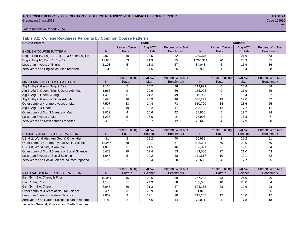#### ACT PROFILE REPORT - State: SECTION III, COLLEGE READINESS & THE IMPACT OF COURSE RIGOR **PAGE 24 Graduating Class 2013** Code 169999

in a complete the contract of the complete the contract of the contract of the contract of the contract of the

Total Students in Report: 22,526

#### **Table 3.2. College Readiness Percents by Common Course Patterns**

| <b>Course Pattern</b>                            |              |                       | <b>State</b> |                  |              |                       | <b>National</b> |                  |
|--------------------------------------------------|--------------|-----------------------|--------------|------------------|--------------|-----------------------|-----------------|------------------|
|                                                  |              | <b>Percent Taking</b> | Avg ACT      | Percent Who Met  |              | <b>Percent Taking</b> | Avg ACT         | Percent Who Met  |
| <b>ENGLISH COURSE PATTERN</b>                    | $\mathsf{N}$ | Pattern               | English      | <b>Benchmark</b> | $\mathsf{N}$ | Pattern               | English         | <b>Benchmark</b> |
| Eng 9, Eng 10, Eng 11, Eng 12, & Other English   | 9,079        | 40                    | 22.5         | 82               | 380,375      | 21                    | 21.6            | 73               |
| Eng 9, Eng 10, Eng 11, Eng 12                    | 11,840       | 53                    | 21.3         | 75               | 1,265,911    | 70                    | 20.3            | 65               |
| Less than 4 years of English                     | 1,103        | 5                     | 18.8         | 57               | 84,048       | 5                     | 15.9            | 36               |
| Zero years / no English courses reported         | 504          | $\overline{2}$        | 14.5         | 25               | 68,909       | 4                     | 16.4            | 38               |
|                                                  |              |                       |              |                  |              |                       |                 |                  |
|                                                  |              | <b>Percent Taking</b> | Avg ACT      | Percent Who Met  |              | <b>Percent Taking</b> | Avg ACT         | Percent Who Met  |
| <b>MATHEMATICS COURSE PATTERN</b>                | N            | Pattern               | <b>Math</b>  | <b>Benchmark</b> | N            | Pattern               | Math            | <b>Benchmark</b> |
| Alg 1, Alg 2, Geom, Trig, & Calc                 | 1,168        | 5                     | 24.7         | 78               | 113,999      | 6                     | 23.8            | 68               |
| Alg 1, Alg 2, Geom, Trig, & Other Adv Math       | 1,968        | 9                     | 22.9         | 66               | 155,095      | 9                     | 21.9            | 56               |
| Alg 1, Alg 2, Geom, & Trig                       | 1,413        | 6                     | 21.2         | 49               | 119,993      | $\overline{7}$        | 19.4            | 32               |
| Alg 1, Alg 2, Geom, & Other Adv Math             | 3,495        | 16                    | 20.9         | 46               | 336,291      | 19                    | 19.6            | 32               |
| Other comb of 4 or more years of Math            | 7,507        | 33                    | 24.4         | 73               | 610,720      | 34                    | 23.6            | 65               |
| Alg 1, Alg 2, & Geom                             | 4.187        | 19                    | 18.2         | 17               | 223,733      | 12                    | 17.2            | 11               |
| Other comb of 3 or 3.5 years of Math             | 1,012        | $\overline{4}$        | 20.6         | 42               | 88,866       | 5                     | 19.7            | 34               |
| Less than 3 years of Math                        | 1,235        | 5                     | 16.6         | 8                | 77,906       | 4                     | 16.3            | $\overline{7}$   |
| Zero years / no Math courses reported            | 541          | $\overline{2}$        | 16.7         | 12               | 72,640       | 4                     | 17.9            | 20               |
|                                                  |              |                       |              |                  |              |                       |                 |                  |
|                                                  |              | <b>Percent Taking</b> | Avg ACT      | Percent Who Met  |              | <b>Percent Taking</b> | Avg ACT         | Percent Who Met  |
| <b>SOCIAL SCIENCE COURSE PATTERN</b>             | $\mathsf{N}$ | Pattern               | Reading      | <b>Benchmark</b> | $\mathsf{N}$ | Pattern               | Reading         | <b>Benchmark</b> |
| US Hist, World Hist, Am Gov, & Other Hist        | 431          | 2                     | 22.2         | 49               | 50,989       | 3                     | 22.2            | 51               |
| Other comb of 4 or more years Social Science     | 12,956       | 58                    | 23.1         | 57               | 908,394      | 50                    | 22.0            | 50               |
| US Hist, World Hist, & Am Gov                    | 1,099        | 5                     | 21.5         | 46               | 106,021      | 6                     | 19.5            | 34               |
| Other comb of 3 or 3.5 years of Social Science   | 6,473        | 29                    | 22.4         | 53               | 489,586      | 27                    | 21.0            | 43               |
| Less than 3 years of Social Science              | 1,045        | 5                     | 20.2         | 38               | 171,617      | 10                    | 19.1            | 32               |
| Zero years / no Social Science courses reported  | 522          | $\overline{2}$        | 16.4         | 20               | 72,636       | 4                     | 17.7            | 25               |
|                                                  |              |                       |              |                  |              |                       |                 |                  |
|                                                  |              | <b>Percent Taking</b> | Avg ACT      | Percent Who Met  |              | <b>Percent Taking</b> | Avg ACT         | Percent Who Met  |
| NATURAL SCIENCE COURSE PATTERN                   | N            | Pattern               | Science      | <b>Benchmark</b> | N            | Pattern               | Science         | <b>Benchmark</b> |
| Gen Sci <sup>1</sup> , Bio, Chem, & Phys         | 10,061       | 45                    | 23.6         | 59               | 767,293      | 43                    | 21.9            | 46               |
| Bio, Chem, Phys                                  | 1,175        | 5                     | 24.9         | 68               | 183,685      | 10                    | 23.0            | 54               |
| Gen Sci <sup>1</sup> , Bio, Chem                 | 8,045        | 36                    | 21.3         | 37               | 504,165      | 28                    | 19.9            | 28               |
| Other comb of 3 years of Natural Science         | 647          | 3                     | 20.9         | 36               | 51,822       | 3                     | 19.1            | 25               |
| Less than 3 years of Natural Science             | 2,062        | 9                     | 19.1         | 20               | 218,267      | 12                    | 18.0            | 17               |
| Zero years / no Natural Science courses reported | 536          | $\overline{2}$        | 16.6         | 14               | 74,011       | 4                     | 17.8            | 18               |

<sup>1</sup>Includes General, Physical and Earth Sciences.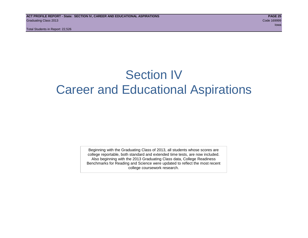### Section IV Career and Educational Aspirations

Beginning with the Graduating Class of 2013, all students whose scores are college reportable, both standard and extended time tests, are now included. Also beginning with the 2013 Graduating Class data, College Readiness Benchmarks for Reading and Science were updated to reflect the most recent college coursework research.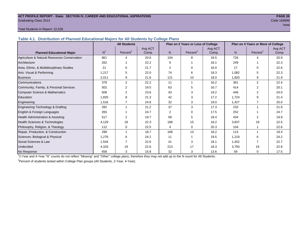#### **ACT PROFILE REPORT - State: SECTION IV, CAREER AND EDUCATIONAL ASPIRATIONS PAGE 26** Graduating Class 2013 Code 169999

#### Total Students in Report: 22,526

**Table 4.1. Distribution of Planned Educational Majors for All Students by College Plans**

|                                              |                | <b>All Students</b>  |         |                | Plan on 2 Years or Less of College |         |                | Plan on 4 Years or More of College |         |
|----------------------------------------------|----------------|----------------------|---------|----------------|------------------------------------|---------|----------------|------------------------------------|---------|
|                                              |                |                      | Avg ACT |                |                                    | Avg ACT |                |                                    | Avg ACT |
| <b>Planned Educational Major</b>             | N <sup>1</sup> | Percent <sup>2</sup> | Comp    | N <sub>1</sub> | Percent <sup>2</sup>               | Comp    | N <sub>1</sub> | Percent <sup>2</sup>               | Comp    |
| Agriculture & Natural Resources Conservation | 861            | 4                    | 20.6    | 104            | 8                                  | 18.5    | 726            | 4                                  | 20.9    |
| Architecture                                 | 262            |                      | 22.2    | 9              |                                    | 18.1    | 249            |                                    | 22.3    |
| Area, Ethnic, & Multidisciplinary Studies    | 21             | $\Omega$             | 21.7    | 2              | $\Omega$                           | 16.0    | 17             | $\Omega$                           | 22.6    |
| Arts: Visual & Performing                    | 1,217          | 5                    | 22.0    | 74             | 6                                  | 18.3    | 1,082          | 5                                  | 22.3    |
| <b>Business</b>                              | 2,011          | 9                    | 21.6    | 121            | 10                                 | 18.0    | 1,820          | 9                                  | 21.9    |
| Communications                               | 379            | 2                    | 22.2    | 11             |                                    | 16.2    | 361            | $\overline{2}$                     | 22.4    |
| Community, Family, & Personal Services       | 502            | 2                    | 19.5    | 63             | 5                                  | 16.7    | 414            | $\mathfrak{p}$                     | 20.1    |
| Computer Science & Mathematics               | 508            | 2                    | 23.6    | 43             | 3                                  | 19.2    | 446            |                                    | 24.0    |
| Education                                    | 1,825          | 8                    | 21.3    | 42             | 3                                  | 17.2    | 1,724          | 9                                  | 21.4    |
| Engineering                                  | 1,516          | $\overline{7}$       | 24.8    | 32             | 3                                  | 19.0    | 1,427          | $\overline{7}$                     | 25.0    |
| Engineering Technology & Drafting            | 282            | 1                    | 21.2    | 37             | 3                                  | 17.3    | 233            | 1                                  | 21.9    |
| English & Foreign Languages                  | 265            |                      | 24.7    | 2              | $\Omega$                           | 17.5    | 252            |                                    | 24.7    |
| <b>Health Administration &amp; Assisting</b> | 517            | $\overline{2}$       | 19.7    | 58             | 5                                  | 18.4    | 434            | 2                                  | 19.9    |
| Health Sciences & Technologies               | 4,129          | 18                   | 22.3    | 189            | 15                                 | 18.2    | 3,837          | 19                                 | 22.5    |
| Philosophy, Religion, & Theology             | 112            | 0                    | 22.5    | 4              | $\Omega$                           | 20.3    | 104            |                                    | 22.6    |
| Repair, Production, & Construction           | 298            |                      | 18.7    | 168            | 13                                 | 18.2    | 114            |                                    | 19.4    |
| Sciences: Biological & Physical              | 1,276          | 6                    | 24.2    | 11             |                                    | 19.5    | 1,219          | 6                                  | 24.2    |
| Social Sciences & Law                        | 1,544          |                      | 22.6    | 41             | 3                                  | 18.1    | 1,452          | 7                                  | 22.7    |
| Undecided                                    | 4,333          | 19                   | 22.6    | 213            | 17                                 | 18.3    | 3,793          | 19                                 | 22.8    |
| No Response                                  | 658            | 3                    | 15.8    | 32             | 3                                  | 13.6    | 59             | $\mathbf 0$                        | 17.5    |

1 2-Year and 4-Year "N" counts do not reflect "Missing" and "Other" college plans, therefore they may not add up to the N count for All Students.

<sup>2</sup> Percent of students tested within College Plan groups (All Students, 2-Year, 4-Year).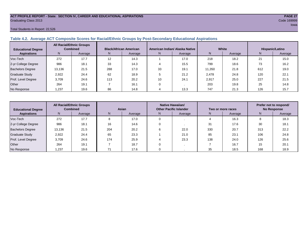#### **ACT PROFILE REPORT - State: SECTION IV, CAREER AND EDUCATIONAL ASPIRATIONS PAGE 27** Graduating Class 2013 Code 169999

#### Total Students in Report: 22,526

#### **Table 4.2. Average ACT Composite Scores for Racial/Ethnic Groups by Post-Secondary Educational Aspirations**

| <b>Educational Degree</b> | <b>All Racial/Ethnic Groups</b><br><b>Combined</b> |         | <b>Black/African American</b> |         | American Indian/ Alaska Native |         | White  |         | Hispanic/Latino |         |  |
|---------------------------|----------------------------------------------------|---------|-------------------------------|---------|--------------------------------|---------|--------|---------|-----------------|---------|--|
| <b>Aspirations</b>        | N.                                                 | Average | N.                            | Average | N                              | Average | Ν      | Average | N               | Average |  |
| Voc-Tech                  | 272                                                | 17.7    | 12                            | 14.3    |                                | 17.0    | 218    | 18.2    | 21              | 15.0    |  |
| 2-yr College Degree       | 986                                                | 18.1    | 33                            | 14.3    |                                | 15.5    | 799    | 18.6    | 73              | 16.2    |  |
| <b>Bachelors Degree</b>   | 13.136                                             | 21.5    | 288                           | 17.0    | 33                             | 19.1    | 11.350 | 21.8    | 612             | 19.0    |  |
| <b>Graduate Study</b>     | 2,922                                              | 24.4    | 62                            | 18.9    |                                | 21.2    | 2,478  | 24.8    | 120             | 22.1    |  |
| Prof. Level Degree        | 3.709                                              | 24.6    | 113                           | 20.2    | 10                             | 24.1    | 2,917  | 25.0    | 227             | 21.5    |  |
| Other                     | 264                                                | 19.1    |                               | 16.1    |                                |         | 203    | 19.8    | 25              | 14.8    |  |
| No Response               | 1.237                                              | 19.6    | 86                            | 14.8    |                                | 13.3    | 747    | 21.3    | 126             | 15.7    |  |

| <b>Educational Degree</b> | <b>All Racial/Ethnic Groups</b><br><b>Combined</b> |         | Asian |         | Native Hawaiian/<br><b>Other Pacific Islander</b> |      | Two or more races |         | Prefer not to respond/<br><b>No Response</b> |         |
|---------------------------|----------------------------------------------------|---------|-------|---------|---------------------------------------------------|------|-------------------|---------|----------------------------------------------|---------|
| <b>Aspirations</b>        | N.                                                 | Average | N     | Average | Average<br>N                                      |      | N                 | Average |                                              | Average |
| Voc-Tech                  | 272                                                | 17.7    | 8     | 17.0    |                                                   |      |                   | 16.3    | o                                            | 18.3    |
| 2-yr College Degree       | 986                                                | 18.1    | 16    | 14.6    |                                                   |      | 31                | 17.6    | 30                                           | 18.1    |
| <b>Bachelors Degree</b>   | 13,136                                             | 21.5    | 204   | 20.2    |                                                   | 22.0 | 330               | 20.7    | 313                                          | 22.2    |
| <b>Graduate Study</b>     | 2.922                                              | 24.4    | 65    | 23.3    |                                                   | 21.0 | 85                | 23.1    | 106                                          | 24.8    |
| Prof. Level Degree        | 3.709                                              | 24.6    | 174   | 25.9    |                                                   | 23.3 | 138               | 24.0    | 126                                          | 25.6    |
| Other                     | 264                                                | 19.1    |       | 18.7    |                                                   |      |                   | 16.7    | 15                                           | 20.1    |
| No Response               | 1,237                                              | 19.6    |       | 17.6    |                                                   |      | 35                | 18.5    | 168                                          | 18.9    |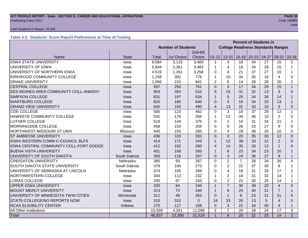#### **ACT PROFILE REPORT - State: SECTION IV, CAREER AND EDUCATIONAL ASPIRATIONS PAGE 28 Graduating Class 2013** Code 169999 **Code 169999**

#### Total Students in Report: 22,526

#### **Table 4.3. Students' Score Report Preferences at Time of Testing**

|                                         |              |                           |            | <b>Percent of Students in</b> |                                           |                |                   |                 |                 |                |                |
|-----------------------------------------|--------------|---------------------------|------------|-------------------------------|-------------------------------------------|----------------|-------------------|-----------------|-----------------|----------------|----------------|
|                                         |              | <b>Number of Students</b> |            |                               | <b>College Readiness Standards Ranges</b> |                |                   |                 |                 |                |                |
|                                         |              |                           |            | 2nd-6th                       |                                           |                |                   |                 |                 |                |                |
| Name                                    | <b>State</b> | Total                     | 1st Choice | Choice                        | $01 - 12$                                 |                | $13 - 15$   16-19 | $20 - 23$       | 24-27           | $28-32$        | 33-36          |
| <b>IOWA STATE UNIVERSITY</b>            | lowa         | 6,584                     | 3,115      | 3,469                         | 1                                         | 4              | 18                | 34              | 27              | 15             | $\overline{2}$ |
| UNIVERSITY OF IOWA                      | lowa         | 5,844                     | 2,361      | 3,483                         | 1                                         | $\overline{4}$ | 16                | 34              | 28              | 15             | 1              |
| UNIVERSITY OF NORTHERN IOWA             | lowa         | 4,519                     | 1,261      | 3,258                         | 0                                         | 4              | 21                | 37              | 27              | 10             |                |
| KIRKWOOD COMMUNITY COLLEGE              | lowa         | 1,158                     | 382        | 776                           |                                           | 10             | 34                | 35              | 16              | 4              | 0              |
| <b>DRAKE UNIVERSITY</b>                 | lowa         | 1,056                     | 215        | 841                           | $\overline{2}$                            | 6              | 14                | 28              | 28              | 20             | 2              |
| <b>CENTRAL COLLEGE</b>                  | lowa         | 997                       | 256        | 741                           | $\Omega$                                  | 3              | 17                | 34              | 29              | 15             | $\mathbf{1}$   |
| DES MOINES AREA COMMUNITY COLL-ANKENY   | lowa         | 903                       | 393        | 510                           | 5                                         | 15             | 31                | 32              | 13              | 3              | $\Omega$       |
| <b>SIMPSON COLLEGE</b>                  | lowa         | 831                       | 197        | 634                           | 1                                         | 5              | 20                | 34              | 26              | 14             |                |
| <b>WARTBURG COLLEGE</b>                 | Iowa         | 820                       | 180        | 640                           | $\Omega$                                  | 3              | 16                | 34              | 33              | 13             |                |
| <b>GRAND VIEW UNIVERSITY</b>            | lowa         | 640                       | 150        | 490                           | $\overline{4}$                            | 13             | 31                | 33              | 16              | 3              | 0              |
| <b>COE COLLEGE</b>                      | lowa         | 585                       | 123        | 462                           | $\Omega$                                  | 3              | 18                | 37              | 29              | 12             | $\mathbf{1}$   |
| <b>HAWKEYE COMMUNITY COLLEGE</b>        | lowa         | 532                       | 176        | 356                           | 1                                         | 12             | 39                | 36              | 10              | $\overline{2}$ | 0              |
| <b>LUTHER COLLEGE</b>                   | Iowa         | 519                       | 144        | 375                           | $\Omega$                                  | $\overline{2}$ | 10                | 31              | 34              | 21             | $\overline{2}$ |
| <b>MORNINGSIDE COLLEGE</b>              | lowa         | 458                       | 154        | 304                           | $\Omega$                                  | 5              | 26                | 33              | 27              | 9              | $\Omega$       |
| NORTHWEST MISSOURI ST UNIV              | Missouri     | 440                       | 155        | 285                           | 0                                         | $\overline{4}$ | 28                | 38              | 20              | 10             | 0              |
| <b>ST AMBROSE UNIVERSITY</b>            | lowa         | 436                       | 103        | 333                           | $\overline{0}$                            | 3              | 20                | 35              | 30              | 12             | $\overline{0}$ |
| <b>IOWA WESTERN COMM C-COUNCIL BLFS</b> | lowa         | 414                       | 171        | 243                           | 1                                         | 12             | 39                | 33              | 12              | $\overline{2}$ | $\Omega$       |
| IOWA CENTRAL COMMUNITY COLL-FORT DODGE  | lowa         | 412                       | 152        | 260                           | 4                                         | 14             | 35                | 33              | 12              |                | 0              |
| <b>BUENA VISTA UNIVERSITY</b>           | lowa         | 401                       | 108        | 293                           | 1                                         | 8              | 23                | 34              | 23              | 10             |                |
| UNIVERSITY OF SOUTH DAKOTA              | South Dakota | 383                       | 116        | 267                           | $\Omega$                                  | 3              | 24                | 36              | 27              | 8              | $\mathbf{1}$   |
| <b>CREIGHTON UNIVERSITY</b>             | Nebraska     | 380                       | 93         | 287                           | $\mathbf 0$                               | $\overline{2}$ | $\overline{7}$    | 28              | 34              | 26             | 4              |
| <b>SOUTH DAKOTA STATE UNIVERSITY</b>    | South Dakota | 379                       | 106        | 273                           | 0                                         | $\overline{2}$ | 22                | 37              | 30              | 8              | 1              |
| UNIVERSITY OF NEBRASKA AT LINCOLN       | Nebraska     | 374                       | 105        | 269                           | $\Omega$                                  | $\overline{4}$ | 18                | 31              | 28              | 17             | $\overline{2}$ |
| NORTHWESTERN COLLEGE                    | lowa         | 344                       | 112        | 232                           | 1                                         | $\overline{2}$ | 18                | 31              | 32              | 14             | 1              |
| <b>LORAS COLLEGE</b>                    | lowa         | 330                       | 87         | 243                           | $\Omega$                                  | $\overline{2}$ | 22                | 36              | 25              | 14             | $\mathbf 1$    |
| <b>UPPER IOWA UNIVERSITY</b>            | lowa         | 330                       | 84         | 246                           | $\overline{1}$                            | $\overline{7}$ | 30                | 38              | 20              | $\overline{4}$ | $\Omega$       |
| <b>MOUNT MERCY UNIVERSITY</b>           | lowa         | 313                       | 73         | 240                           |                                           | 6              | 25                | 40              | 21              | $\overline{7}$ |                |
| UNIVERSITY OF MINNESOTA-TWIN CITIES     | Minnesota    | 311                       | 48         | 263                           | $\Omega$                                  | $\mathbf{1}$   | 9                 | 23              | 31              | 31             | 5              |
| STATE-COLLEGE/NO REPORTS NOW            | lowa         | 310                       | 310        | $\Omega$                      | 18                                        | 33             | 26                | 13              | 5               | $\overline{4}$ | $\Omega$       |
| <b>NCAA ELIGIBILITY CENTER</b>          | Indiana      | 275                       | 117        | 158                           | $\overline{0}$                            | 3              | 22                | 34              | 30              | 9              | $\mathbf{1}$   |
| All Other Institutions                  |              | 15,559                    | 4,261      | 11,298                        | $\overline{2}$                            | $\overline{7}$ | 20                | 28              | 24              | 17             | 3              |
| Total                                   |              | 46,837                    | 15,308     | 31,529                        | $\overline{1}$                            | 6              | 20                | $\overline{32}$ | $\overline{25}$ | 14             | $\overline{2}$ |

in the contract of the contract of the contract of the contract of the contract of the contract of the contract of the contract of the contract of the contract of the contract of the contract of the contract of the contrac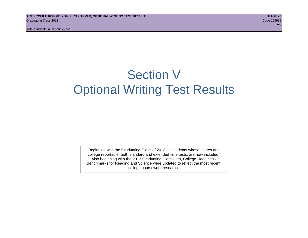## Section V Optional Writing Test Results

Beginning with the Graduating Class of 2013, all students whose scores are college reportable, both standard and extended time tests, are now included. Also beginning with the 2013 Graduating Class data, College Readiness Benchmarks for Reading and Science were updated to reflect the most recent college coursework research.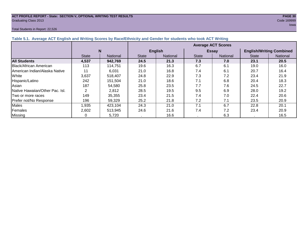#### **ACT PROFILE REPORT - State: SECTION V, OPTIONAL WRITING TEST RESULTS PAGE 30 Graduating Class 2013** Code 169999

#### Total Students in Report: 22,526

| Total Students in Report: 22,526                                                                                 |     |                           | lowa                                                                                                                                                                                                                                                                                                                                                                                                                                                                                       |
|------------------------------------------------------------------------------------------------------------------|-----|---------------------------|--------------------------------------------------------------------------------------------------------------------------------------------------------------------------------------------------------------------------------------------------------------------------------------------------------------------------------------------------------------------------------------------------------------------------------------------------------------------------------------------|
| Table 5.1. Average ACT English and Writing Scores by Race/Ethnicity and Gender for students who took ACT Writing |     |                           |                                                                                                                                                                                                                                                                                                                                                                                                                                                                                            |
|                                                                                                                  |     | <b>Average ACT Scores</b> |                                                                                                                                                                                                                                                                                                                                                                                                                                                                                            |
|                                                                                                                  | ___ |                           | $\blacksquare$ $\blacksquare$ $\blacksquare$ $\blacksquare$ $\blacksquare$ $\blacksquare$ $\blacksquare$ $\blacksquare$ $\blacksquare$ $\blacksquare$ $\blacksquare$ $\blacksquare$ $\blacksquare$ $\blacksquare$ $\blacksquare$ $\blacksquare$ $\blacksquare$ $\blacksquare$ $\blacksquare$ $\blacksquare$ $\blacksquare$ $\blacksquare$ $\blacksquare$ $\blacksquare$ $\blacksquare$ $\blacksquare$ $\blacksquare$ $\blacksquare$ $\blacksquare$ $\blacksquare$ $\blacksquare$ $\blacks$ |

|                                       |              |                 | <b>Average ACT Scores</b> |                 |              |              |                                 |          |  |
|---------------------------------------|--------------|-----------------|---------------------------|-----------------|--------------|--------------|---------------------------------|----------|--|
|                                       | N            |                 |                           | <b>English</b>  |              | <b>Essay</b> | <b>English/Writing Combined</b> |          |  |
|                                       | <b>State</b> | <b>National</b> | <b>State</b>              | <b>National</b> | <b>State</b> | National     | <b>State</b>                    | National |  |
| <b>All Students</b>                   | 4,537        | 942,769         | 24.5                      | 21.3            | 7.3          | 7.0          | 23.1                            | 20.5     |  |
| <b>Black/African American</b>         | 113          | 114.751         | 19.6                      | 16.3            | 6.7          | 6.1          | 19.0                            | 16.0     |  |
| <b>IAmerican Indian/Alaska Native</b> | 11           | 6.031           | 21.0                      | 16.8            | 7.4          | 6.1          | 20.7                            | 16.4     |  |
| White                                 | 3,637        | 518.407         | 24.8                      | 22.9            | 7.3          | 7.2          | 23.4                            | 21.9     |  |
| Hispanic/Latino                       | 242          | 151.504         | 21.0                      | 18.6            | 7.1          | 6.8          | 20.4                            | 18.3     |  |
| Asian                                 | 187          | 54,580          | 25.8                      | 23.5            | 7.7          | 7.6          | 24.5                            | 22.7     |  |
| Native Hawaiian/Other Pac. Isl.       |              | 2,812           | 28.5                      | 19.5            | 9.5          | 6.9          | 28.0                            | 19.2     |  |
| Two or more races                     | 149          | 35,355          | 23.4                      | 21.5            | 7.4          | 7.0          | 22.4                            | 20.6     |  |
| Prefer not/No Response                | 196          | 59,329          | 25.2                      | 21.8            | 7.2          | 7.1          | 23.5                            | 20.9     |  |
| <b>Males</b>                          | 1,935        | 423,104         | 24.3                      | 21.0            | 7.1          | 6.7          | 22.8                            | 20.1     |  |
| Females                               | 2,602        | 513,945         | 24.6                      | 21.6            | 7.4          | 7.2          | 23.4                            | 20.9     |  |
| Missing                               |              | 5,720           |                           | 16.6            |              | 6.3          |                                 | 16.5     |  |